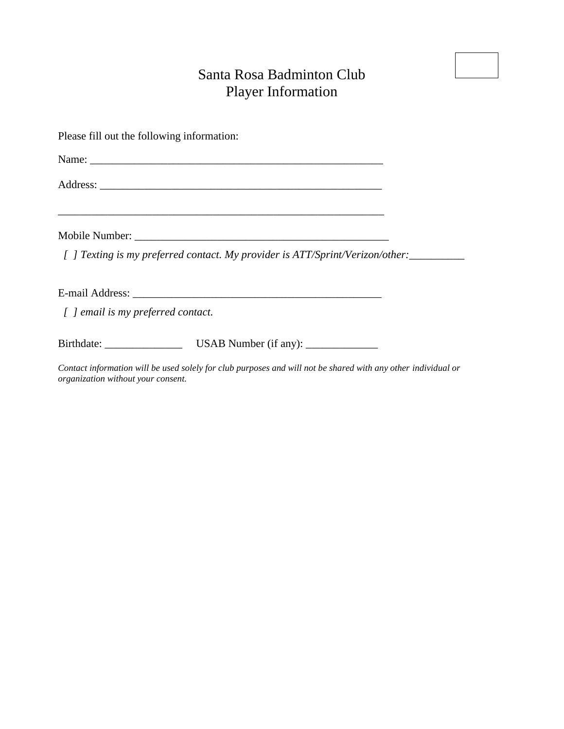## Santa Rosa Badminton Club Player Information

| Please fill out the following information:                                                                    |  |
|---------------------------------------------------------------------------------------------------------------|--|
|                                                                                                               |  |
|                                                                                                               |  |
|                                                                                                               |  |
| [ ] Texting is my preferred contact. My provider is ATT/Sprint/Verizon/other:                                 |  |
|                                                                                                               |  |
| [ ] email is my preferred contact.                                                                            |  |
|                                                                                                               |  |
| Contact information will be used solely for club purposes and will not be shared with any other individual or |  |

*organization without your consent.*